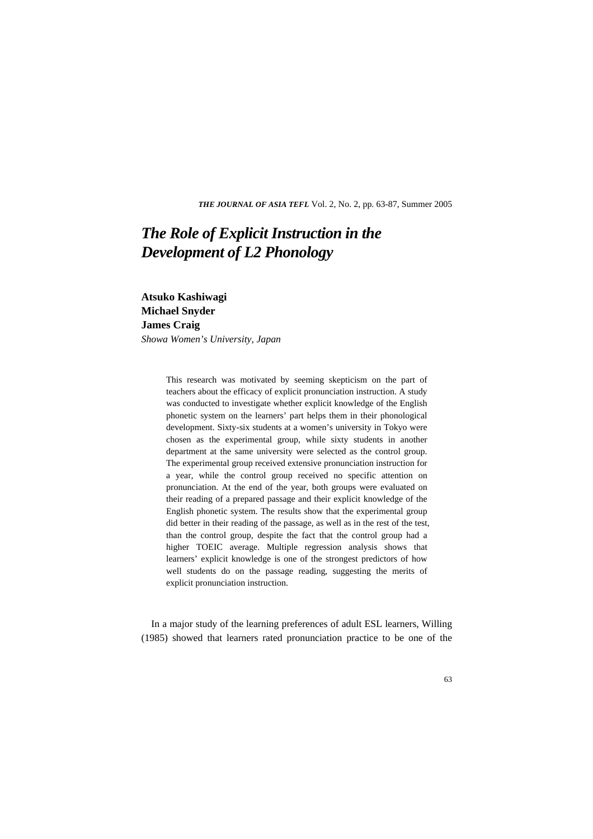*THE JOURNAL OF ASIA TEFL* Vol. 2, No. 2, pp. 63-87, Summer 2005

# *The Role of Explicit Instruction in the Development of L2 Phonology*

**Atsuko Kashiwagi Michael Snyder James Craig**  *Showa Women's University, Japan*

> This research was motivated by seeming skepticism on the part of teachers about the efficacy of explicit pronunciation instruction. A study was conducted to investigate whether explicit knowledge of the English phonetic system on the learners' part helps them in their phonological development. Sixty-six students at a women's university in Tokyo were chosen as the experimental group, while sixty students in another department at the same university were selected as the control group. The experimental group received extensive pronunciation instruction for a year, while the control group received no specific attention on pronunciation. At the end of the year, both groups were evaluated on their reading of a prepared passage and their explicit knowledge of the English phonetic system. The results show that the experimental group did better in their reading of the passage, as well as in the rest of the test, than the control group, despite the fact that the control group had a higher TOEIC average. Multiple regression analysis shows that learners' explicit knowledge is one of the strongest predictors of how well students do on the passage reading, suggesting the merits of explicit pronunciation instruction.

In a major study of the learning preferences of adult ESL learners, Willing (1985) showed that learners rated pronunciation practice to be one of the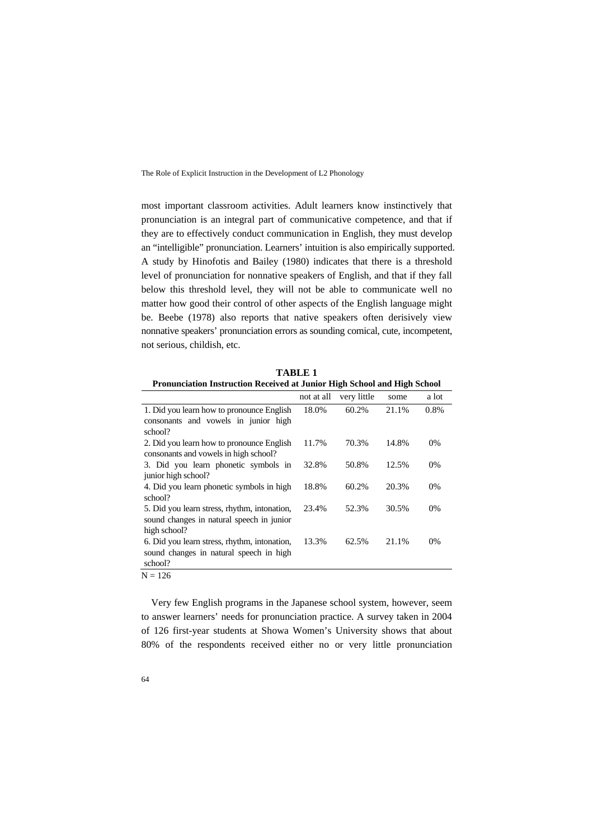most important classroom activities. Adult learners know instinctively that pronunciation is an integral part of communicative competence, and that if they are to effectively conduct communication in English, they must develop an "intelligible" pronunciation. Learners' intuition is also empirically supported. A study by Hinofotis and Bailey (1980) indicates that there is a threshold level of pronunciation for nonnative speakers of English, and that if they fall below this threshold level, they will not be able to communicate well no matter how good their control of other aspects of the English language might be. Beebe (1978) also reports that native speakers often derisively view nonnative speakers' pronunciation errors as sounding comical, cute, incompetent, not serious, childish, etc.

| TABLE 1                                      |                                                                          |             |       |       |  |  |  |
|----------------------------------------------|--------------------------------------------------------------------------|-------------|-------|-------|--|--|--|
|                                              | Pronunciation Instruction Received at Junior High School and High School |             |       |       |  |  |  |
|                                              | not at all                                                               | very little | some  | a lot |  |  |  |
| 1. Did you learn how to pronounce English    | 18.0%                                                                    | 60.2%       | 21.1% | 0.8%  |  |  |  |
| consonants and vowels in junior high         |                                                                          |             |       |       |  |  |  |
| school?                                      |                                                                          |             |       |       |  |  |  |
| 2. Did you learn how to pronounce English    | 11.7%                                                                    | 70.3%       | 14.8% | $0\%$ |  |  |  |
| consonants and vowels in high school?        |                                                                          |             |       |       |  |  |  |
| 3. Did you learn phonetic symbols in         | 32.8%                                                                    | 50.8%       | 12.5% | $0\%$ |  |  |  |
| junior high school?                          |                                                                          |             |       |       |  |  |  |
| 4. Did you learn phonetic symbols in high    | 18.8%                                                                    | 60.2%       | 20.3% | $0\%$ |  |  |  |
| school?                                      |                                                                          |             |       |       |  |  |  |
| 5. Did you learn stress, rhythm, intonation, | 23.4%                                                                    | 52.3%       | 30.5% | $0\%$ |  |  |  |
| sound changes in natural speech in junior    |                                                                          |             |       |       |  |  |  |
| high school?                                 |                                                                          |             |       |       |  |  |  |
| 6. Did you learn stress, rhythm, intonation, | 13.3%                                                                    | 62.5%       | 21.1% | $0\%$ |  |  |  |
| sound changes in natural speech in high      |                                                                          |             |       |       |  |  |  |
| school?                                      |                                                                          |             |       |       |  |  |  |

 $N = 126$ 

Very few English programs in the Japanese school system, however, seem to answer learners' needs for pronunciation practice. A survey taken in 2004 of 126 first-year students at Showa Women's University shows that about 80% of the respondents received either no or very little pronunciation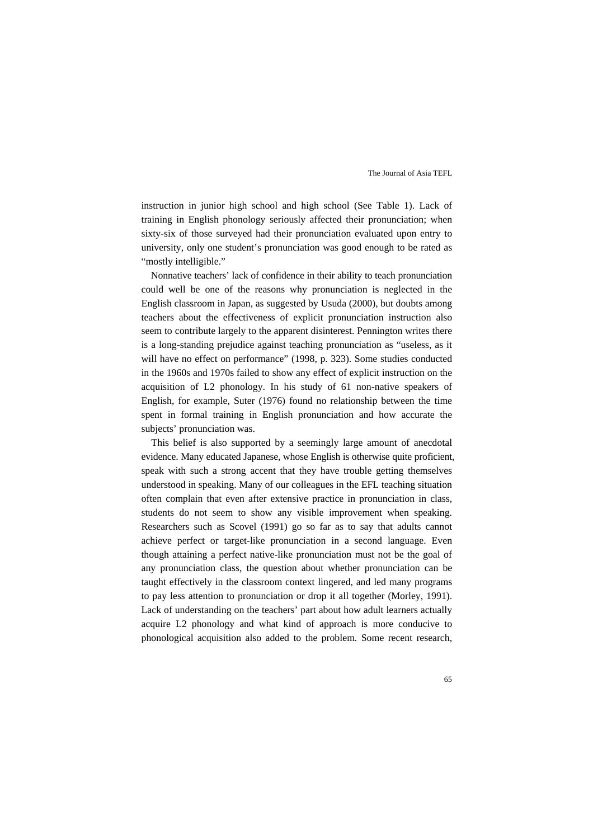instruction in junior high school and high school (See Table 1). Lack of training in English phonology seriously affected their pronunciation; when sixty-six of those surveyed had their pronunciation evaluated upon entry to university, only one student's pronunciation was good enough to be rated as "mostly intelligible."

Nonnative teachers' lack of confidence in their ability to teach pronunciation could well be one of the reasons why pronunciation is neglected in the English classroom in Japan, as suggested by Usuda (2000), but doubts among teachers about the effectiveness of explicit pronunciation instruction also seem to contribute largely to the apparent disinterest. Pennington writes there is a long-standing prejudice against teaching pronunciation as "useless, as it will have no effect on performance" (1998, p. 323). Some studies conducted in the 1960s and 1970s failed to show any effect of explicit instruction on the acquisition of L2 phonology. In his study of 61 non-native speakers of English, for example, Suter (1976) found no relationship between the time spent in formal training in English pronunciation and how accurate the subjects' pronunciation was.

This belief is also supported by a seemingly large amount of anecdotal evidence. Many educated Japanese, whose English is otherwise quite proficient, speak with such a strong accent that they have trouble getting themselves understood in speaking. Many of our colleagues in the EFL teaching situation often complain that even after extensive practice in pronunciation in class, students do not seem to show any visible improvement when speaking. Researchers such as Scovel (1991) go so far as to say that adults cannot achieve perfect or target-like pronunciation in a second language. Even though attaining a perfect native-like pronunciation must not be the goal of any pronunciation class, the question about whether pronunciation can be taught effectively in the classroom context lingered, and led many programs to pay less attention to pronunciation or drop it all together (Morley, 1991). Lack of understanding on the teachers' part about how adult learners actually acquire L2 phonology and what kind of approach is more conducive to phonological acquisition also added to the problem. Some recent research,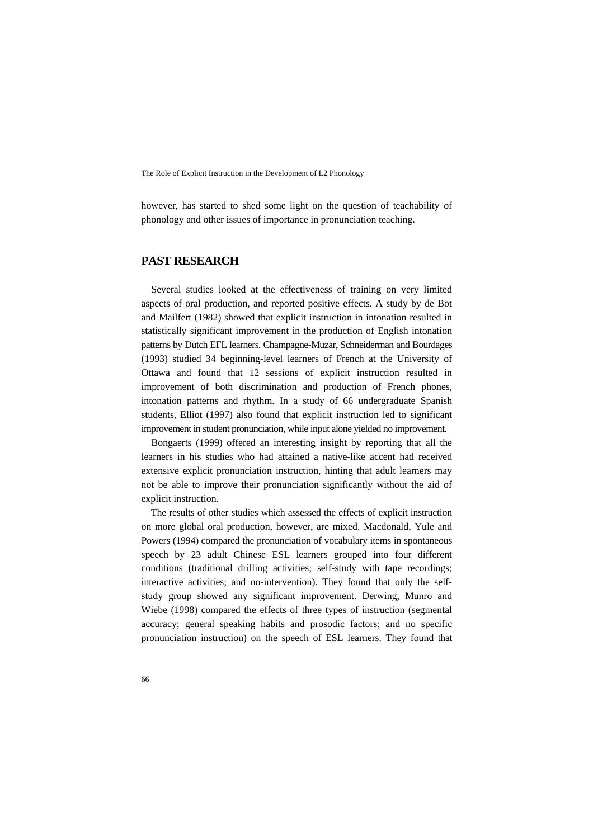however, has started to shed some light on the question of teachability of phonology and other issues of importance in pronunciation teaching.

## **PAST RESEARCH**

Several studies looked at the effectiveness of training on very limited aspects of oral production, and reported positive effects. A study by de Bot and Mailfert (1982) showed that explicit instruction in intonation resulted in statistically significant improvement in the production of English intonation patterns by Dutch EFL learners. Champagne-Muzar, Schneiderman and Bourdages (1993) studied 34 beginning-level learners of French at the University of Ottawa and found that 12 sessions of explicit instruction resulted in improvement of both discrimination and production of French phones, intonation patterns and rhythm. In a study of 66 undergraduate Spanish students, Elliot (1997) also found that explicit instruction led to significant improvement in student pronunciation, while input alone yielded no improvement.

Bongaerts (1999) offered an interesting insight by reporting that all the learners in his studies who had attained a native-like accent had received extensive explicit pronunciation instruction, hinting that adult learners may not be able to improve their pronunciation significantly without the aid of explicit instruction.

The results of other studies which assessed the effects of explicit instruction on more global oral production, however, are mixed. Macdonald, Yule and Powers (1994) compared the pronunciation of vocabulary items in spontaneous speech by 23 adult Chinese ESL learners grouped into four different conditions (traditional drilling activities; self-study with tape recordings; interactive activities; and no-intervention). They found that only the selfstudy group showed any significant improvement. Derwing, Munro and Wiebe (1998) compared the effects of three types of instruction (segmental accuracy; general speaking habits and prosodic factors; and no specific pronunciation instruction) on the speech of ESL learners. They found that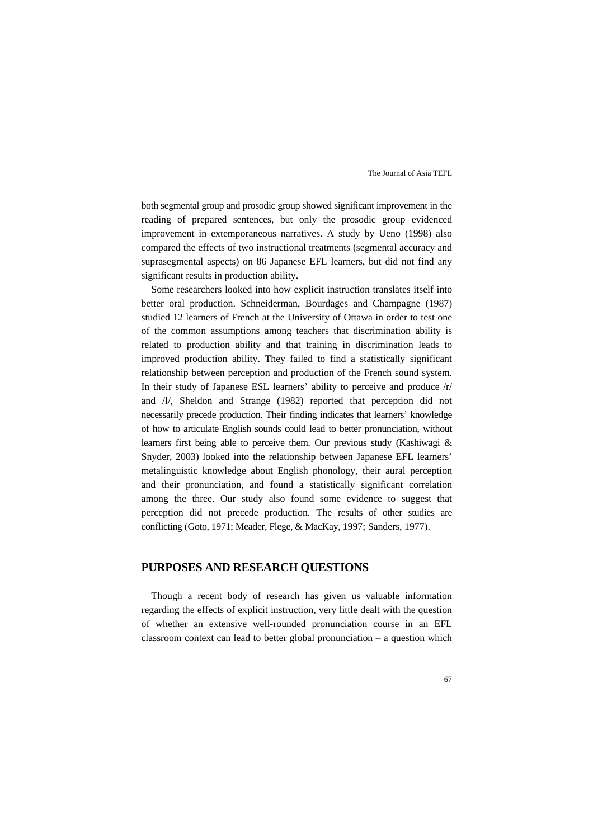both segmental group and prosodic group showed significant improvement in the reading of prepared sentences, but only the prosodic group evidenced improvement in extemporaneous narratives. A study by Ueno (1998) also compared the effects of two instructional treatments (segmental accuracy and suprasegmental aspects) on 86 Japanese EFL learners, but did not find any significant results in production ability.

Some researchers looked into how explicit instruction translates itself into better oral production. Schneiderman, Bourdages and Champagne (1987) studied 12 learners of French at the University of Ottawa in order to test one of the common assumptions among teachers that discrimination ability is related to production ability and that training in discrimination leads to improved production ability. They failed to find a statistically significant relationship between perception and production of the French sound system. In their study of Japanese ESL learners' ability to perceive and produce /r/ and /l/, Sheldon and Strange (1982) reported that perception did not necessarily precede production. Their finding indicates that learners' knowledge of how to articulate English sounds could lead to better pronunciation, without learners first being able to perceive them. Our previous study (Kashiwagi & Snyder, 2003) looked into the relationship between Japanese EFL learners' metalinguistic knowledge about English phonology, their aural perception and their pronunciation, and found a statistically significant correlation among the three. Our study also found some evidence to suggest that perception did not precede production. The results of other studies are conflicting (Goto, 1971; Meader, Flege, & MacKay, 1997; Sanders, 1977).

## **PURPOSES AND RESEARCH QUESTIONS**

Though a recent body of research has given us valuable information regarding the effects of explicit instruction, very little dealt with the question of whether an extensive well-rounded pronunciation course in an EFL classroom context can lead to better global pronunciation – a question which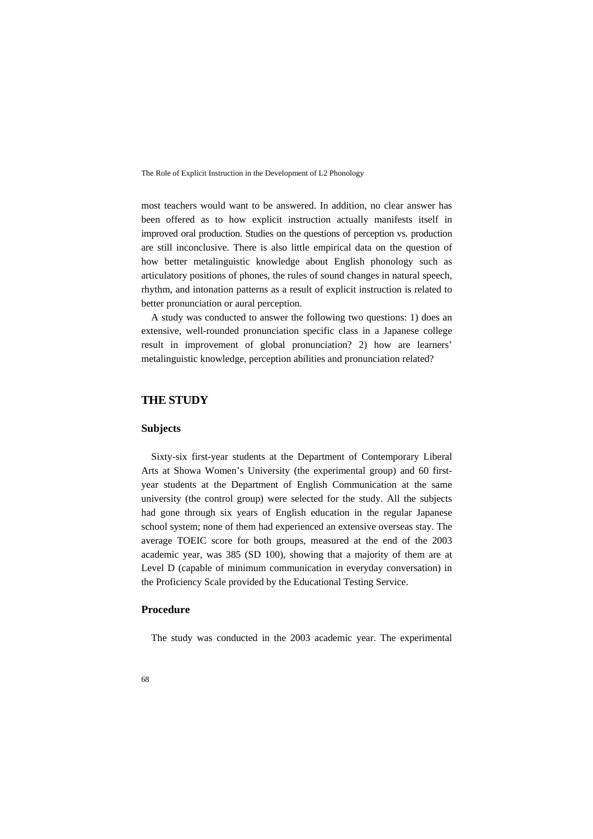most teachers would want to be answered. In addition, no clear answer has been offered as to how explicit instruction actually manifests itself in improved oral production. Studies on the questions of perception vs. production are still inconclusive. There is also little empirical data on the question of how better metalinguistic knowledge about English phonology such as articulatory positions of phones, the rules of sound changes in natural speech, rhythm, and intonation patterns as a result of explicit instruction is related to better pronunciation or aural perception.

A study was conducted to answer the following two questions: 1) does an extensive, well-rounded pronunciation specific class in a Japanese college result in improvement of global pronunciation? 2) how are learners' metalinguistic knowledge, perception abilities and pronunciation related?

## **THE STUDY**

## **Subjects**

Sixty-six first-year students at the Department of Contemporary Liberal Arts at Showa Women's University (the experimental group) and 60 firstyear students at the Department of English Communication at the same university (the control group) were selected for the study. All the subjects had gone through six years of English education in the regular Japanese school system; none of them had experienced an extensive overseas stay. The average TOEIC score for both groups, measured at the end of the 2003 academic year, was 385 (SD 100), showing that a majority of them are at Level D (capable of minimum communication in everyday conversation) in the Proficiency Scale provided by the Educational Testing Service.

## **Procedure**

The study was conducted in the 2003 academic year. The experimental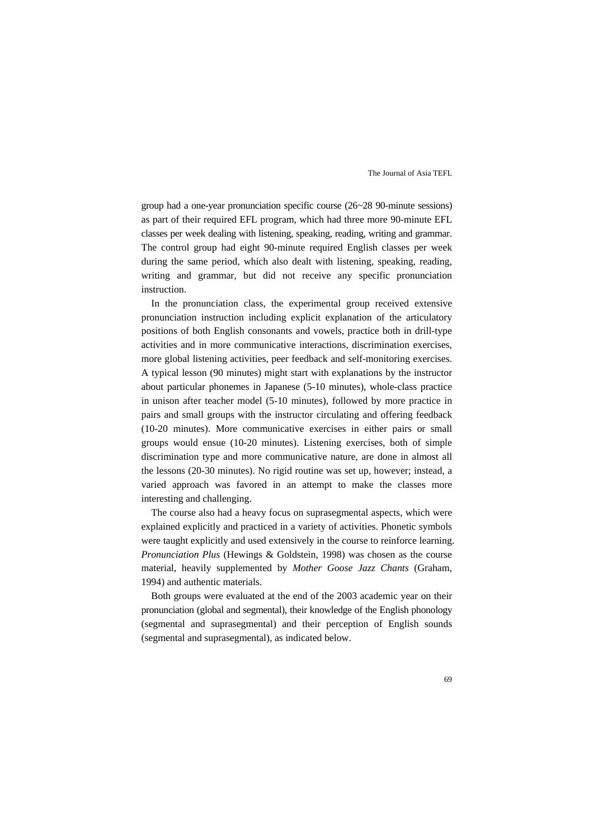group had a one-year pronunciation specific course (26~28 90-minute sessions) as part of their required EFL program, which had three more 90-minute EFL classes per week dealing with listening, speaking, reading, writing and grammar. The control group had eight 90-minute required English classes per week during the same period, which also dealt with listening, speaking, reading, writing and grammar, but did not receive any specific pronunciation instruction.

In the pronunciation class, the experimental group received extensive pronunciation instruction including explicit explanation of the articulatory positions of both English consonants and vowels, practice both in drill-type activities and in more communicative interactions, discrimination exercises, more global listening activities, peer feedback and self-monitoring exercises. A typical lesson (90 minutes) might start with explanations by the instructor about particular phonemes in Japanese (5-10 minutes), whole-class practice in unison after teacher model (5-10 minutes), followed by more practice in pairs and small groups with the instructor circulating and offering feedback (10-20 minutes). More communicative exercises in either pairs or small groups would ensue (10-20 minutes). Listening exercises, both of simple discrimination type and more communicative nature, are done in almost all the lessons (20-30 minutes). No rigid routine was set up, however; instead, a varied approach was favored in an attempt to make the classes more interesting and challenging.

The course also had a heavy focus on suprasegmental aspects, which were explained explicitly and practiced in a variety of activities. Phonetic symbols were taught explicitly and used extensively in the course to reinforce learning. *Pronunciation Plus* (Hewings & Goldstein, 1998) was chosen as the course material, heavily supplemented by *Mother Goose Jazz Chants* (Graham, 1994) and authentic materials.

Both groups were evaluated at the end of the 2003 academic year on their pronunciation (global and segmental), their knowledge of the English phonology (segmental and suprasegmental) and their perception of English sounds (segmental and suprasegmental), as indicated below.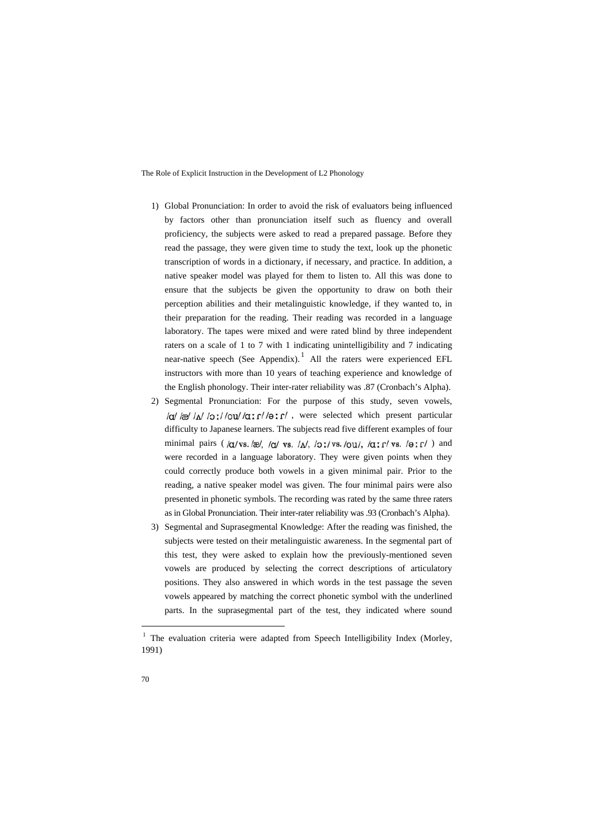- 1) Global Pronunciation: In order to avoid the risk of evaluators being influenced by factors other than pronunciation itself such as fluency and overall proficiency, the subjects were asked to read a prepared passage. Before they read the passage, they were given time to study the text, look up the phonetic transcription of words in a dictionary, if necessary, and practice. In addition, a native speaker model was played for them to listen to. All this was done to ensure that the subjects be given the opportunity to draw on both their perception abilities and their metalinguistic knowledge, if they wanted to, in their preparation for the reading. Their reading was recorded in a language laboratory. The tapes were mixed and were rated blind by three independent raters on a scale of 1 to 7 with 1 indicating unintelligibility and 7 indicating near-native speech (See Appendix).<sup>[1](#page-7-0)</sup> All the raters were experienced EFL instructors with more than 10 years of teaching experience and knowledge of the English phonology. Their inter-rater reliability was .87 (Cronbach's Alpha).
- 2) Segmental Pronunciation: For the purpose of this study, seven vowels,  $/\alpha$ / $\approx$ / $\alpha$ / $\sim$  / $\alpha$ / $\alpha$  / $\alpha$  / $\alpha$  / $\alpha$  / $\alpha$  / $\alpha$  / $\alpha$  / $\alpha$  / $\alpha$  / $\alpha$  / $\alpha$  / $\alpha$  / $\alpha$  / $\alpha$  / $\alpha$  / $\alpha$  / $\alpha$  / $\alpha$  / $\alpha$  / $\alpha$  / $\alpha$  / $\alpha$  / $\alpha$  / $\alpha$  / $\alpha$  / $\alpha$  / $\alpha$  / $\alpha$  / $\alpha$  / $\alpha$  / $\alpha$  / $\alpha$  / $\alpha$ difficulty to Japanese learners. The subjects read five different examples of four minimal pairs ( $/\alpha$ /vs./æ/,  $/\alpha$ /vs./ $\lambda$ / $\lambda$ ,  $/\delta$ :/vs./ $\delta$ u/,  $/\alpha$ : $\Gamma$ /vs./ $\theta$ : $\Gamma$ /) and were recorded in a language laboratory. They were given points when they could correctly produce both vowels in a given minimal pair. Prior to the reading, a native speaker model was given. The four minimal pairs were also presented in phonetic symbols. The recording was rated by the same three raters as in Global Pronunciation. Their inter-rater reliability was .93 (Cronbach's Alpha).
- 3) Segmental and Suprasegmental Knowledge: After the reading was finished, the subjects were tested on their metalinguistic awareness. In the segmental part of this test, they were asked to explain how the previously-mentioned seven vowels are produced by selecting the correct descriptions of articulatory positions. They also answered in which words in the test passage the seven vowels appeared by matching the correct phonetic symbol with the underlined parts. In the suprasegmental part of the test, they indicated where sound

<span id="page-7-0"></span><sup>&</sup>lt;sup>1</sup> The evaluation criteria were adapted from Speech Intelligibility Index (Morley, 1991)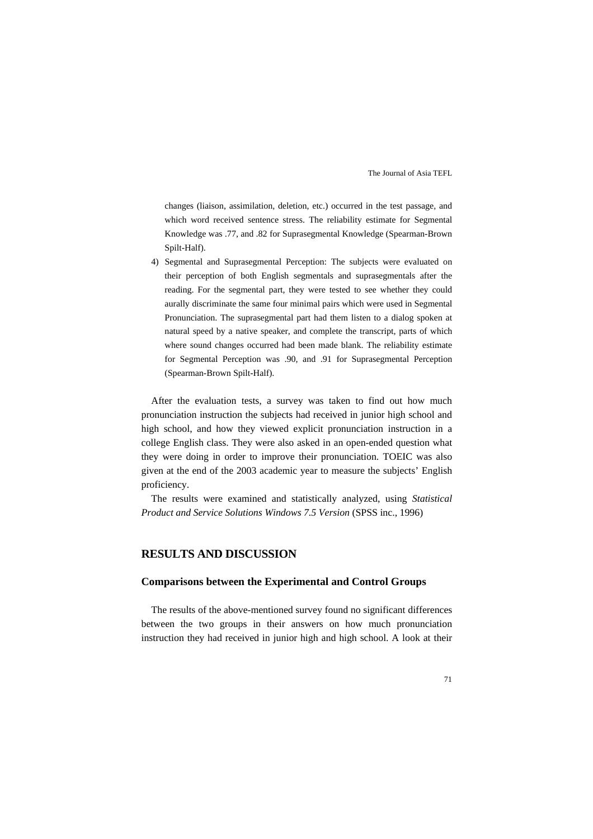changes (liaison, assimilation, deletion, etc.) occurred in the test passage, and which word received sentence stress. The reliability estimate for Segmental Knowledge was .77, and .82 for Suprasegmental Knowledge (Spearman-Brown Spilt-Half).

4) Segmental and Suprasegmental Perception: The subjects were evaluated on their perception of both English segmentals and suprasegmentals after the reading. For the segmental part, they were tested to see whether they could aurally discriminate the same four minimal pairs which were used in Segmental Pronunciation. The suprasegmental part had them listen to a dialog spoken at natural speed by a native speaker, and complete the transcript, parts of which where sound changes occurred had been made blank. The reliability estimate for Segmental Perception was .90, and .91 for Suprasegmental Perception (Spearman-Brown Spilt-Half).

After the evaluation tests, a survey was taken to find out how much pronunciation instruction the subjects had received in junior high school and high school, and how they viewed explicit pronunciation instruction in a college English class. They were also asked in an open-ended question what they were doing in order to improve their pronunciation. TOEIC was also given at the end of the 2003 academic year to measure the subjects' English proficiency.

The results were examined and statistically analyzed, using *Statistical Product and Service Solutions Windows 7.5 Version* (SPSS inc., 1996)

## **RESULTS AND DISCUSSION**

#### **Comparisons between the Experimental and Control Groups**

The results of the above-mentioned survey found no significant differences between the two groups in their answers on how much pronunciation instruction they had received in junior high and high school. A look at their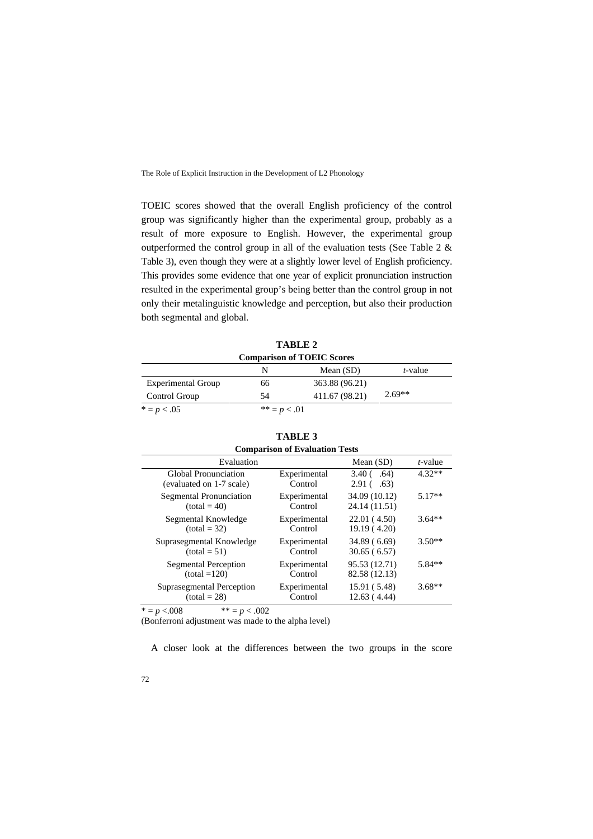TOEIC scores showed that the overall English proficiency of the control group was significantly higher than the experimental group, probably as a result of more exposure to English. However, the experimental group outperformed the control group in all of the evaluation tests (See Table 2 & Table 3), even though they were at a slightly lower level of English proficiency. This provides some evidence that one year of explicit pronunciation instruction resulted in the experimental group's being better than the control group in not only their metalinguistic knowledge and perception, but also their production both segmental and global.

| ТАВЬЕ 4                   |                                   |                |          |  |  |
|---------------------------|-----------------------------------|----------------|----------|--|--|
|                           | <b>Comparison of TOEIC Scores</b> |                |          |  |  |
|                           | N                                 | Mean $(SD)$    | t-value  |  |  |
| <b>Experimental Group</b> | 66                                | 363.88 (96.21) |          |  |  |
| Control Group             | 54                                | 411.67 (98.21) | $2.69**$ |  |  |
| $* = p < .05$             | ** = $p < .01$                    |                |          |  |  |

**TABLE 2**

## **TABLE 3**

| <b>Comparison of Evaluation Tests</b>                   |                         |                                                        |          |  |  |
|---------------------------------------------------------|-------------------------|--------------------------------------------------------|----------|--|--|
| Evaluation                                              |                         | Mean (SD)                                              | t-value  |  |  |
| <b>Global Pronunciation</b><br>(evaluated on 1-7 scale) | Experimental<br>Control | 3.40 <sub>0</sub><br>.64)<br>2.91 <sub>0</sub><br>.63) | $4.32**$ |  |  |
| Segmental Pronunciation                                 | Experimental            | 34.09 (10.12)                                          | $5.17**$ |  |  |
| $(total = 40)$                                          | Control                 | 24.14 (11.51)                                          |          |  |  |
| Segmental Knowledge                                     | Experimental            | 22.01(4.50)                                            | $3.64**$ |  |  |
| $(total = 32)$                                          | Control                 | 19.19 (4.20)                                           |          |  |  |
| Suprasegmental Knowledge                                | Experimental            | 34.89 (6.69)                                           | $3.50**$ |  |  |
| $(total = 51)$                                          | Control                 | 30.65(6.57)                                            |          |  |  |
| <b>Segmental Perception</b>                             | Experimental            | 95.53 (12.71)                                          | $5.84**$ |  |  |
| $(total = 120)$                                         | Control                 | 82.58 (12.13)                                          |          |  |  |
| Suprasegmental Perception                               | Experimental            | 15.91 (5.48)                                           | $3.68**$ |  |  |
| $(total = 28)$                                          | Control                 | 12.63(4.44)                                            |          |  |  |

\*  $= p < .008$  \* \*  $= p < .002$ 

(Bonferroni adjustment was made to the alpha level)

A closer look at the differences between the two groups in the score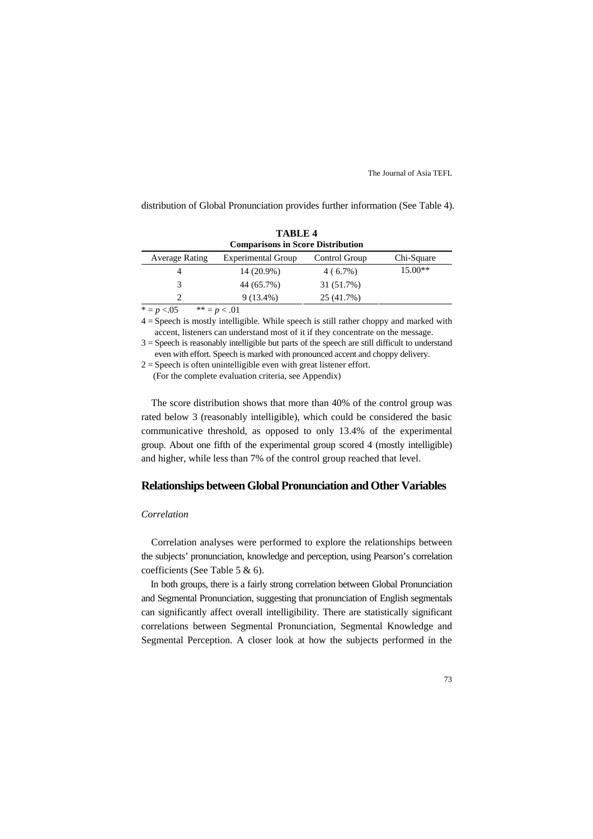distribution of Global Pronunciation provides further information (See Table 4).

| <b>TABLE 4</b>         |                                          |               |            |  |  |  |
|------------------------|------------------------------------------|---------------|------------|--|--|--|
|                        | <b>Comparisons in Score Distribution</b> |               |            |  |  |  |
| <b>Average Rating</b>  | <b>Experimental Group</b>                | Control Group | Chi-Square |  |  |  |
| 4                      | 14 (20.9%)                               | $4(6.7\%)$    | $15.00**$  |  |  |  |
|                        | 44 (65.7%)                               | 31 (51.7%)    |            |  |  |  |
| $\mathfrak{D}_{\cdot}$ | $9(13.4\%)$                              | 25 (41.7%)    |            |  |  |  |
| $* - n > 05$           | $** - n \times 01$                       |               |            |  |  |  |

 $p < 0.05$  \*\*  $= p < 0.01$ 

4 = Speech is mostly intelligible. While speech is still rather choppy and marked with accent, listeners can understand most of it if they concentrate on the message.

3 = Speech is reasonably intelligible but parts of the speech are still difficult to understand even with effort. Speech is marked with pronounced accent and choppy delivery.

 $2 =$  Speech is often unintelligible even with great listener effort. (For the complete evaluation criteria, see Appendix)

The score distribution shows that more than 40% of the control group was rated below 3 (reasonably intelligible), which could be considered the basic communicative threshold, as opposed to only 13.4% of the experimental group. About one fifth of the experimental group scored 4 (mostly intelligible) and higher, while less than 7% of the control group reached that level.

## **Relationships between Global Pronunciation and Other Variables**

#### *Correlation*

Correlation analyses were performed to explore the relationships between the subjects' pronunciation, knowledge and perception, using Pearson's correlation coefficients (See Table 5 & 6).

In both groups, there is a fairly strong correlation between Global Pronunciation and Segmental Pronunciation, suggesting that pronunciation of English segmentals can significantly affect overall intelligibility. There are statistically significant correlations between Segmental Pronunciation, Segmental Knowledge and Segmental Perception. A closer look at how the subjects performed in the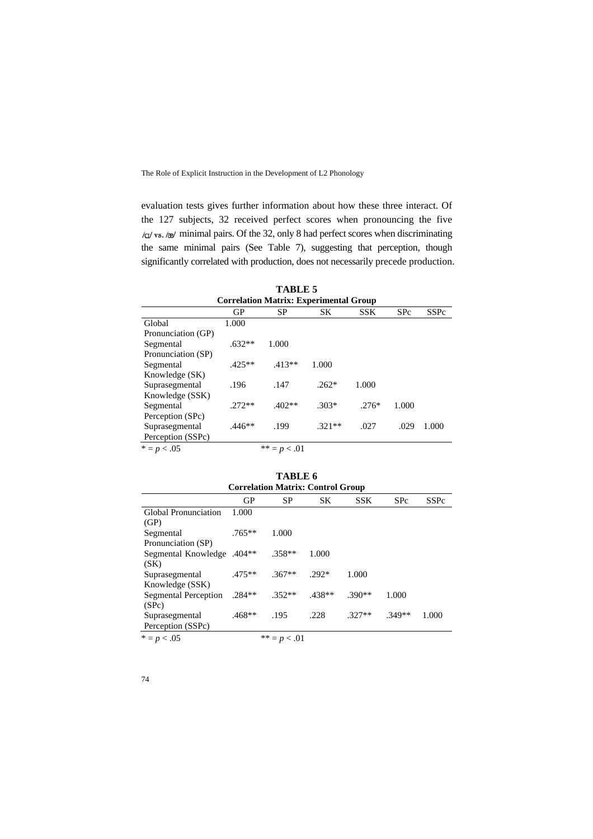evaluation tests gives further information about how these three interact. Of the 127 subjects, 32 received perfect scores when pronouncing the five  $/\alpha$  vs. /æ/ minimal pairs. Of the 32, only 8 had perfect scores when discriminating the same minimal pairs (See Table 7), suggesting that perception, though significantly correlated with production, does not necessarily precede production.

| <b>TABLE 5</b>     |                                               |                |          |         |            |             |  |  |
|--------------------|-----------------------------------------------|----------------|----------|---------|------------|-------------|--|--|
|                    | <b>Correlation Matrix: Experimental Group</b> |                |          |         |            |             |  |  |
|                    | GP                                            | SP             | SК       | SSK.    | <b>SPc</b> | <b>SSPc</b> |  |  |
| Global             | 1.000                                         |                |          |         |            |             |  |  |
| Pronunciation (GP) |                                               |                |          |         |            |             |  |  |
| Segmental          | $.632**$                                      | 1.000          |          |         |            |             |  |  |
| Pronunciation (SP) |                                               |                |          |         |            |             |  |  |
| Segmental          | $.425**$                                      | $.413**$       | 1.000    |         |            |             |  |  |
| Knowledge (SK)     |                                               |                |          |         |            |             |  |  |
| Suprasegmental     | .196                                          | .147           | $.262*$  | 1.000   |            |             |  |  |
| Knowledge (SSK)    |                                               |                |          |         |            |             |  |  |
| Segmental          | $.272**$                                      | $.402**$       | $.303*$  | $.276*$ | 1.000      |             |  |  |
| Perception (SPc)   |                                               |                |          |         |            |             |  |  |
| Suprasegmental     | $.446**$                                      | .199           | $.321**$ | .027    | .029       | 1.000       |  |  |
| Perception (SSPc)  |                                               |                |          |         |            |             |  |  |
| $* = p < .05$      |                                               | ** = $p < .01$ |          |         |            |             |  |  |

| <b>Correlation Matrix: Control Group</b> |          |                |          |            |            |             |
|------------------------------------------|----------|----------------|----------|------------|------------|-------------|
|                                          | GP       | <b>SP</b>      | SK       | <b>SSK</b> | <b>SPc</b> | <b>SSPc</b> |
| <b>Global Pronunciation</b><br>(GP)      | 1.000    |                |          |            |            |             |
| Segmental<br>Pronunciation (SP)          | $.765**$ | 1.000          |          |            |            |             |
| \$404** Segmental Knowledge<br>(SK)      |          | $.358**$       | 1.000    |            |            |             |
| Suprasegmental<br>Knowledge (SSK)        | $.475**$ | $.367**$       | $.292*$  | 1.000      |            |             |
| <b>Segmental Perception</b><br>(SPc)     | $.284**$ | $.352**$       | $.438**$ | $.390**$   | 1.000      |             |
| Suprasegmental<br>Perception (SSPc)      | $.468**$ | .195           | .228     | $.327**$   | $349**$    | 1.000       |
| $* = p < .05$                            |          | ** = $p < .01$ |          |            |            |             |

**TABLE 6**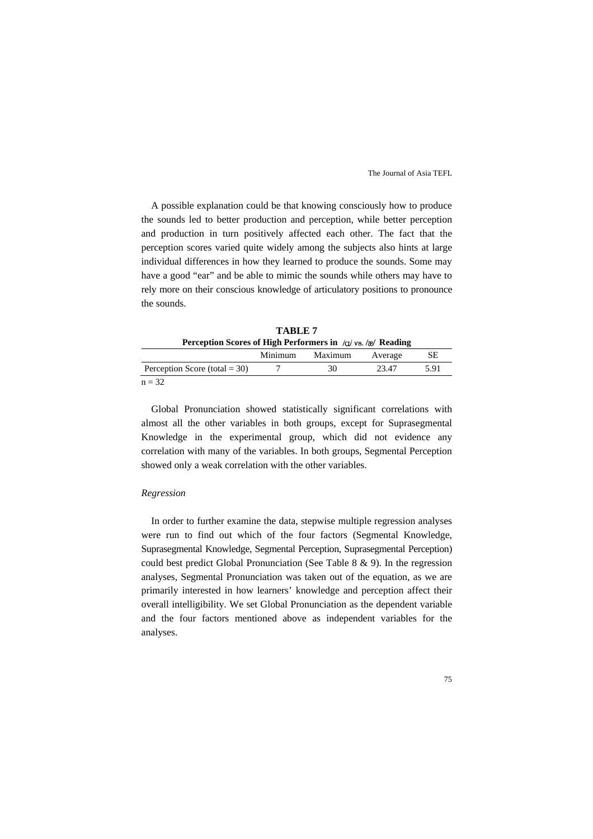A possible explanation could be that knowing consciously how to produce the sounds led to better production and perception, while better perception and production in turn positively affected each other. The fact that the perception scores varied quite widely among the subjects also hints at large individual differences in how they learned to produce the sounds. Some may have a good "ear" and be able to mimic the sounds while others may have to rely more on their conscious knowledge of articulatory positions to pronounce the sounds.

| TABLE 7 |                                                                              |         |         |  |  |
|---------|------------------------------------------------------------------------------|---------|---------|--|--|
|         | Perception Scores of High Performers in $\alpha/\sqrt{s}$ , $\alpha$ Reading |         |         |  |  |
|         | Minimum                                                                      | Maximum | Average |  |  |

|                                  | Minimum | Maximum | Average | <b>SE</b> |
|----------------------------------|---------|---------|---------|-----------|
| Perception Score (total = $30$ ) |         | 30      | 23.47   | 5.91      |
| $n = 32$                         |         |         |         |           |

Global Pronunciation showed statistically significant correlations with almost all the other variables in both groups, except for Suprasegmental Knowledge in the experimental group, which did not evidence any correlation with many of the variables. In both groups, Segmental Perception showed only a weak correlation with the other variables.

#### *Regression*

In order to further examine the data, stepwise multiple regression analyses were run to find out which of the four factors (Segmental Knowledge, Suprasegmental Knowledge, Segmental Perception, Suprasegmental Perception) could best predict Global Pronunciation (See Table 8 & 9). In the regression analyses, Segmental Pronunciation was taken out of the equation, as we are primarily interested in how learners' knowledge and perception affect their overall intelligibility. We set Global Pronunciation as the dependent variable and the four factors mentioned above as independent variables for the analyses.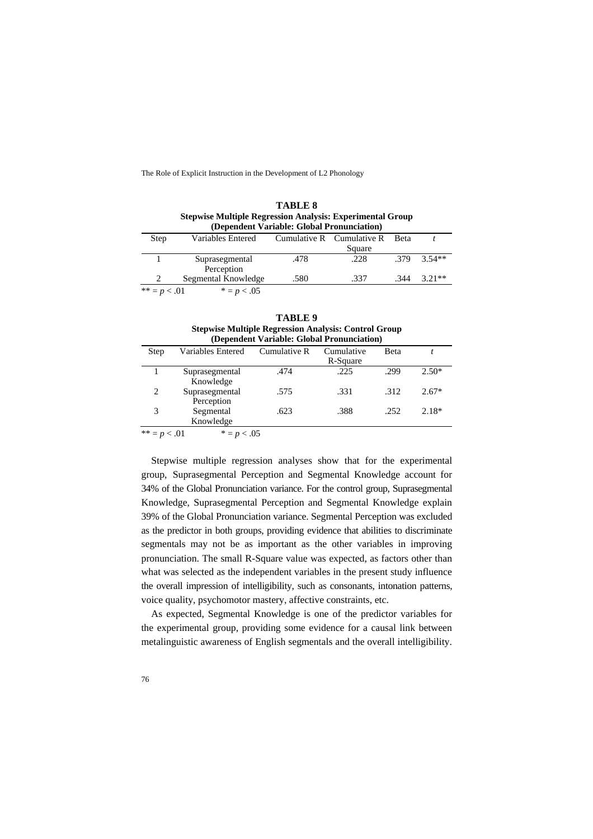|                |                                                                  | <b>TABLE 8</b>                             |                               |             |          |
|----------------|------------------------------------------------------------------|--------------------------------------------|-------------------------------|-------------|----------|
|                | <b>Stepwise Multiple Regression Analysis: Experimental Group</b> |                                            |                               |             |          |
|                |                                                                  | (Dependent Variable: Global Pronunciation) |                               |             |          |
| Step           | Variables Entered                                                |                                            | Cumulative $R$ Cumulative $R$ | <b>Beta</b> |          |
|                |                                                                  |                                            | Square                        |             |          |
|                | Suprasegmental                                                   | .478                                       | .228                          | .379        | $3.54**$ |
|                | Perception                                                       |                                            |                               |             |          |
| 2              | Segmental Knowledge                                              | .580                                       | .337                          | .344        | $3.21**$ |
| ** = $p < .01$ | $* = p < .05$                                                    |                                            |                               |             |          |

| TABLE 9                                                     |  |
|-------------------------------------------------------------|--|
|                                                             |  |
| <b>Stepwise Multiple Regression Analysis: Control Group</b> |  |

| (Dependent Variable: Global Pronunciation) |                   |              |            |      |         |  |
|--------------------------------------------|-------------------|--------------|------------|------|---------|--|
| Step                                       | Variables Entered | Cumulative R | Cumulative | Beta |         |  |
|                                            |                   |              | R-Square   |      |         |  |
|                                            | Suprasegmental    | .474         | .225       | .299 | $2.50*$ |  |
|                                            | Knowledge         |              |            |      |         |  |
| 2                                          | Suprasegmental    | .575         | .331       | .312 | $2.67*$ |  |
|                                            | Perception        |              |            |      |         |  |
| 3                                          | Segmental         | .623         | .388       | .252 | $2.18*$ |  |
|                                            | Knowledge         |              |            |      |         |  |
| $** - - - 01$                              | $* - - - \wedge$  |              |            |      |         |  |

 $=p < .01$  \*  $=p < .05$ 

Stepwise multiple regression analyses show that for the experimental group, Suprasegmental Perception and Segmental Knowledge account for 34% of the Global Pronunciation variance. For the control group, Suprasegmental Knowledge, Suprasegmental Perception and Segmental Knowledge explain 39% of the Global Pronunciation variance. Segmental Perception was excluded as the predictor in both groups, providing evidence that abilities to discriminate segmentals may not be as important as the other variables in improving pronunciation. The small R-Square value was expected, as factors other than what was selected as the independent variables in the present study influence the overall impression of intelligibility, such as consonants, intonation patterns, voice quality, psychomotor mastery, affective constraints, etc.

As expected, Segmental Knowledge is one of the predictor variables for the experimental group, providing some evidence for a causal link between metalinguistic awareness of English segmentals and the overall intelligibility.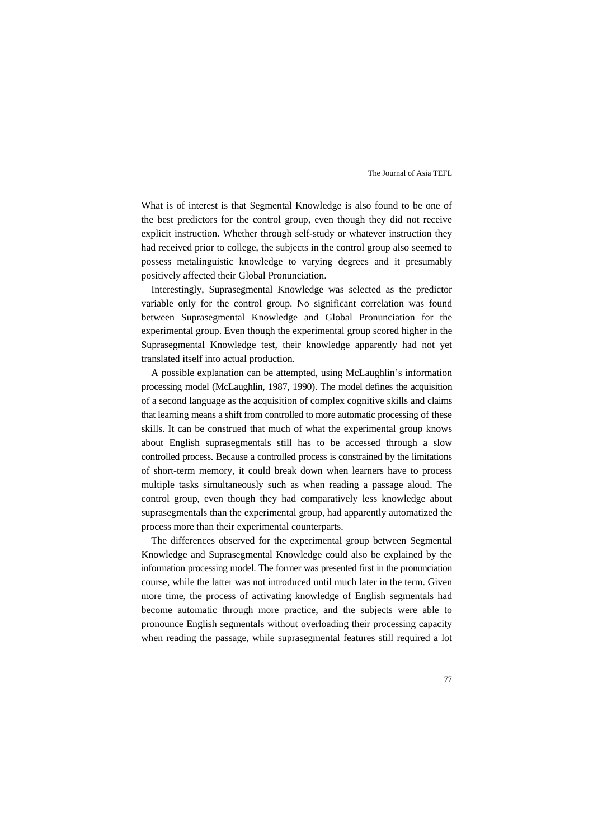What is of interest is that Segmental Knowledge is also found to be one of the best predictors for the control group, even though they did not receive explicit instruction. Whether through self-study or whatever instruction they had received prior to college, the subjects in the control group also seemed to possess metalinguistic knowledge to varying degrees and it presumably positively affected their Global Pronunciation.

Interestingly, Suprasegmental Knowledge was selected as the predictor variable only for the control group. No significant correlation was found between Suprasegmental Knowledge and Global Pronunciation for the experimental group. Even though the experimental group scored higher in the Suprasegmental Knowledge test, their knowledge apparently had not yet translated itself into actual production.

A possible explanation can be attempted, using McLaughlin's information processing model (McLaughlin, 1987, 1990). The model defines the acquisition of a second language as the acquisition of complex cognitive skills and claims that learning means a shift from controlled to more automatic processing of these skills. It can be construed that much of what the experimental group knows about English suprasegmentals still has to be accessed through a slow controlled process. Because a controlled process is constrained by the limitations of short-term memory, it could break down when learners have to process multiple tasks simultaneously such as when reading a passage aloud. The control group, even though they had comparatively less knowledge about suprasegmentals than the experimental group, had apparently automatized the process more than their experimental counterparts.

The differences observed for the experimental group between Segmental Knowledge and Suprasegmental Knowledge could also be explained by the information processing model. The former was presented first in the pronunciation course, while the latter was not introduced until much later in the term. Given more time, the process of activating knowledge of English segmentals had become automatic through more practice, and the subjects were able to pronounce English segmentals without overloading their processing capacity when reading the passage, while suprasegmental features still required a lot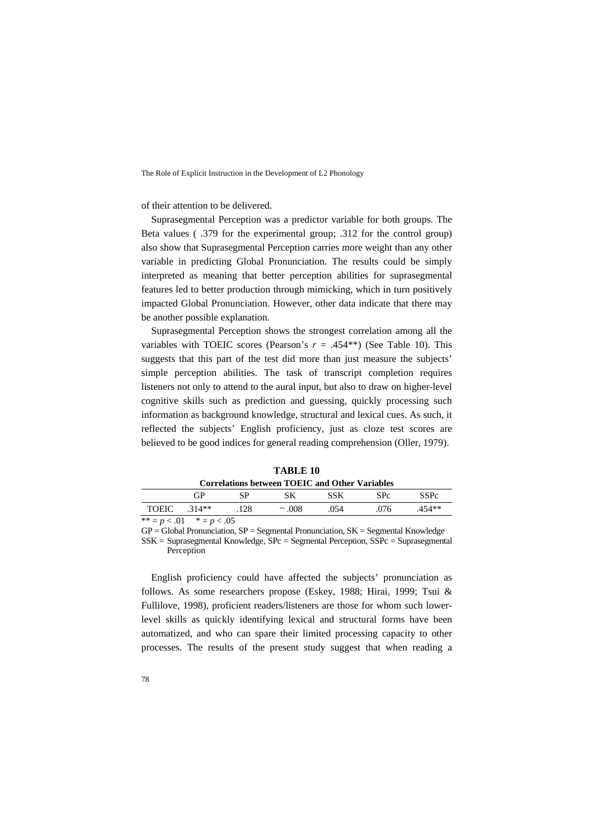of their attention to be delivered.

Suprasegmental Perception was a predictor variable for both groups. The Beta values ( .379 for the experimental group; .312 for the control group) also show that Suprasegmental Perception carries more weight than any other variable in predicting Global Pronunciation. The results could be simply interpreted as meaning that better perception abilities for suprasegmental features led to better production through mimicking, which in turn positively impacted Global Pronunciation. However, other data indicate that there may be another possible explanation.

Suprasegmental Perception shows the strongest correlation among all the variables with TOEIC scores (Pearson's  $r = .454**$ ) (See Table 10). This suggests that this part of the test did more than just measure the subjects' simple perception abilities. The task of transcript completion requires listeners not only to attend to the aural input, but also to draw on higher-level cognitive skills such as prediction and guessing, quickly processing such information as background knowledge, structural and lexical cues. As such, it reflected the subjects' English proficiency, just as cloze test scores are believed to be good indices for general reading comprehension (Oller, 1979).

|                 |                              |       | Correlations between TOEIC and Other Variables |            |                 |          |
|-----------------|------------------------------|-------|------------------------------------------------|------------|-----------------|----------|
|                 | GP                           | SP.   | SK.                                            | <b>SSK</b> | SP <sub>c</sub> | SSPc     |
| $TOEIC$ $314**$ |                              | - 128 | $-008$                                         | 054        | .076            | $.454**$ |
|                 | ** = $p < .01$ * = $p < .05$ |       |                                                |            |                 |          |

**TABLE 10**

 $GP = Global P$ ronunciation,  $SP = Segmentation$  Pronunciation,  $SK = Segmental K$ nowledge

SSK = Suprasegmental Knowledge, SPc = Segmental Perception, SSPc = Suprasegmental Perception

English proficiency could have affected the subjects' pronunciation as follows. As some researchers propose (Eskey, 1988; Hirai, 1999; Tsui & Fullilove, 1998), proficient readers/listeners are those for whom such lowerlevel skills as quickly identifying lexical and structural forms have been automatized, and who can spare their limited processing capacity to other processes. The results of the present study suggest that when reading a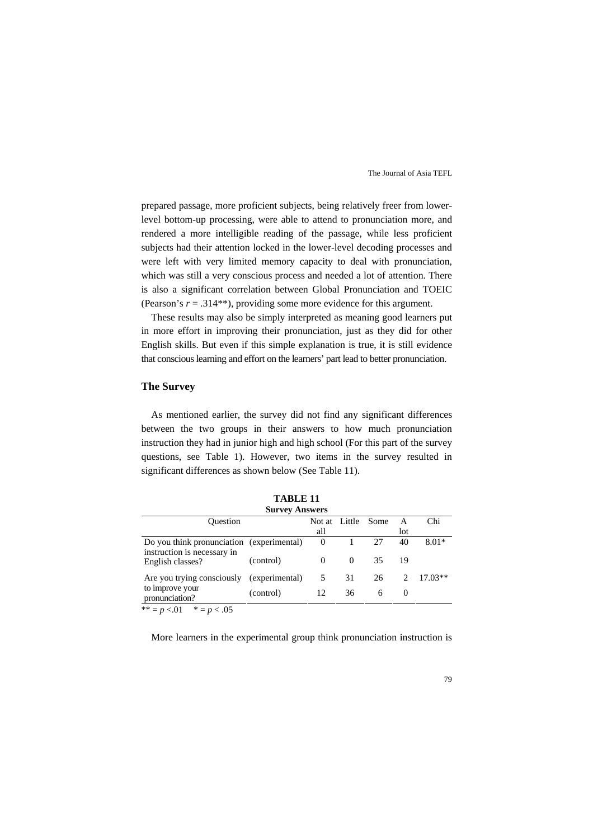prepared passage, more proficient subjects, being relatively freer from lowerlevel bottom-up processing, were able to attend to pronunciation more, and rendered a more intelligible reading of the passage, while less proficient subjects had their attention locked in the lower-level decoding processes and were left with very limited memory capacity to deal with pronunciation, which was still a very conscious process and needed a lot of attention. There is also a significant correlation between Global Pronunciation and TOEIC (Pearson's  $r = .314$ <sup>\*\*</sup>), providing some more evidence for this argument.

These results may also be simply interpreted as meaning good learners put in more effort in improving their pronunciation, just as they did for other English skills. But even if this simple explanation is true, it is still evidence that conscious learning and effort on the learners' part lead to better pronunciation.

## **The Survey**

As mentioned earlier, the survey did not find any significant differences between the two groups in their answers to how much pronunciation instruction they had in junior high and high school (For this part of the survey questions, see Table 1). However, two items in the survey resulted in significant differences as shown below (See Table 11).

**TABLE 11**

| , ADIJI 1<br><b>Survey Answers</b><br>Chi<br>Not at Little<br>Ouestion<br>Some<br>A |           |          |          |    |         |           |  |
|-------------------------------------------------------------------------------------|-----------|----------|----------|----|---------|-----------|--|
|                                                                                     |           |          |          |    |         |           |  |
|                                                                                     |           | all      |          |    | lot     |           |  |
| Do you think pronunciation (experimental)<br>instruction is necessary in            |           | $\Omega$ |          | 27 | 40      | $8.01*$   |  |
| English classes?                                                                    | (control) | $\Omega$ | $\Omega$ | 35 | 19      |           |  |
| Are you trying consciously (experimental)                                           |           | 5        | 31       | 26 | $2^{1}$ | $17.03**$ |  |
| to improve your<br>pronunciation?                                                   | (control) | 12       | 36       | 6  | 0       |           |  |
| ** = $p < 01$ * = $p < 0.05$                                                        |           |          |          |    |         |           |  |

More learners in the experimental group think pronunciation instruction is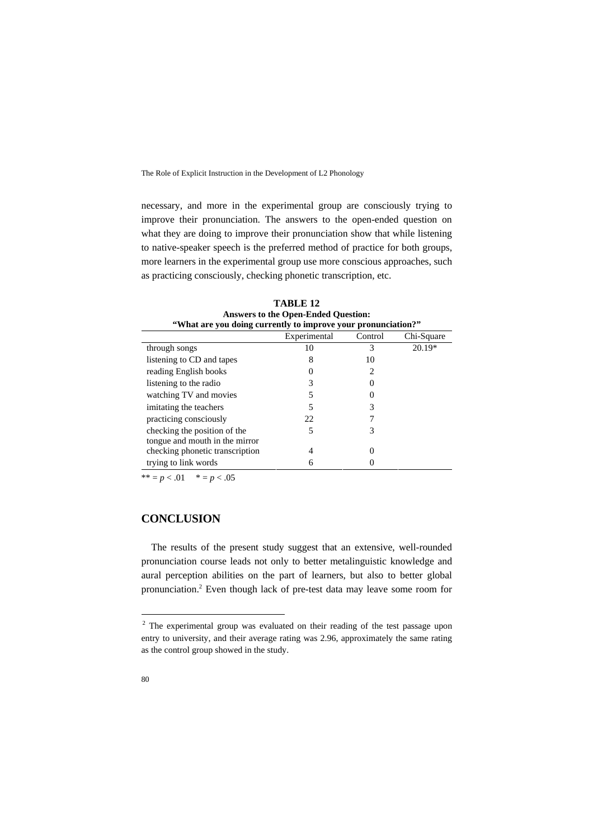necessary, and more in the experimental group are consciously trying to improve their pronunciation. The answers to the open-ended question on what they are doing to improve their pronunciation show that while listening to native-speaker speech is the preferred method of practice for both groups, more learners in the experimental group use more conscious approaches, such as practicing consciously, checking phonetic transcription, etc.

| "What are you doing currently to improve your pronunciation?"  |              |         |            |  |  |  |
|----------------------------------------------------------------|--------------|---------|------------|--|--|--|
|                                                                | Experimental | Control | Chi-Square |  |  |  |
| through songs                                                  | 10           | 3       | 20.19*     |  |  |  |
| listening to CD and tapes                                      | 8            | 10      |            |  |  |  |
| reading English books                                          |              |         |            |  |  |  |
| listening to the radio                                         |              |         |            |  |  |  |
| watching TV and movies                                         |              |         |            |  |  |  |
| imitating the teachers                                         |              |         |            |  |  |  |
| practicing consciously                                         | 22           |         |            |  |  |  |
| checking the position of the<br>tongue and mouth in the mirror | 5            | 3       |            |  |  |  |
| checking phonetic transcription                                | 4            |         |            |  |  |  |
| trying to link words                                           | 6            |         |            |  |  |  |

**TABLE 12 Answers to the Open-Ended Question:** 

\*\* =  $p < .01$  \* =  $p < .05$ 

## **CONCLUSION**

The results of the present study suggest that an extensive, well-rounded pronunciation course leads not only to better metalinguistic knowledge and aural perception abilities on the part of learners, but also to better global pronunciation.<sup>[2](#page-17-0)</sup> Even though lack of pre-test data may leave some room for

<span id="page-17-0"></span><sup>&</sup>lt;sup>2</sup> The experimental group was evaluated on their reading of the test passage upon entry to university, and their average rating was 2.96, approximately the same rating as the control group showed in the study.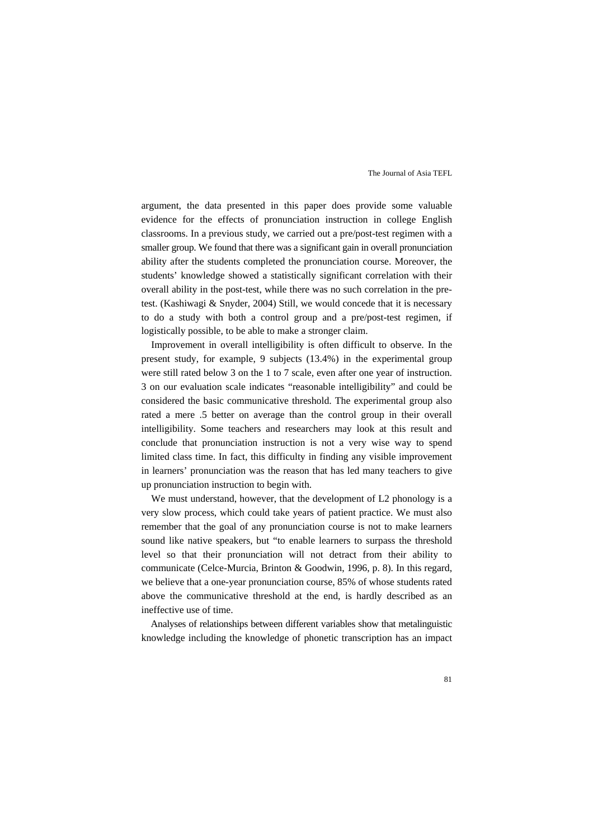argument, the data presented in this paper does provide some valuable evidence for the effects of pronunciation instruction in college English classrooms. In a previous study, we carried out a pre/post-test regimen with a smaller group. We found that there was a significant gain in overall pronunciation ability after the students completed the pronunciation course. Moreover, the students' knowledge showed a statistically significant correlation with their overall ability in the post-test, while there was no such correlation in the pretest. (Kashiwagi & Snyder, 2004) Still, we would concede that it is necessary to do a study with both a control group and a pre/post-test regimen, if logistically possible, to be able to make a stronger claim.

Improvement in overall intelligibility is often difficult to observe. In the present study, for example, 9 subjects (13.4%) in the experimental group were still rated below 3 on the 1 to 7 scale, even after one year of instruction. 3 on our evaluation scale indicates "reasonable intelligibility" and could be considered the basic communicative threshold. The experimental group also rated a mere .5 better on average than the control group in their overall intelligibility. Some teachers and researchers may look at this result and conclude that pronunciation instruction is not a very wise way to spend limited class time. In fact, this difficulty in finding any visible improvement in learners' pronunciation was the reason that has led many teachers to give up pronunciation instruction to begin with.

We must understand, however, that the development of L2 phonology is a very slow process, which could take years of patient practice. We must also remember that the goal of any pronunciation course is not to make learners sound like native speakers, but "to enable learners to surpass the threshold level so that their pronunciation will not detract from their ability to communicate (Celce-Murcia, Brinton & Goodwin, 1996, p. 8). In this regard, we believe that a one-year pronunciation course, 85% of whose students rated above the communicative threshold at the end, is hardly described as an ineffective use of time.

Analyses of relationships between different variables show that metalinguistic knowledge including the knowledge of phonetic transcription has an impact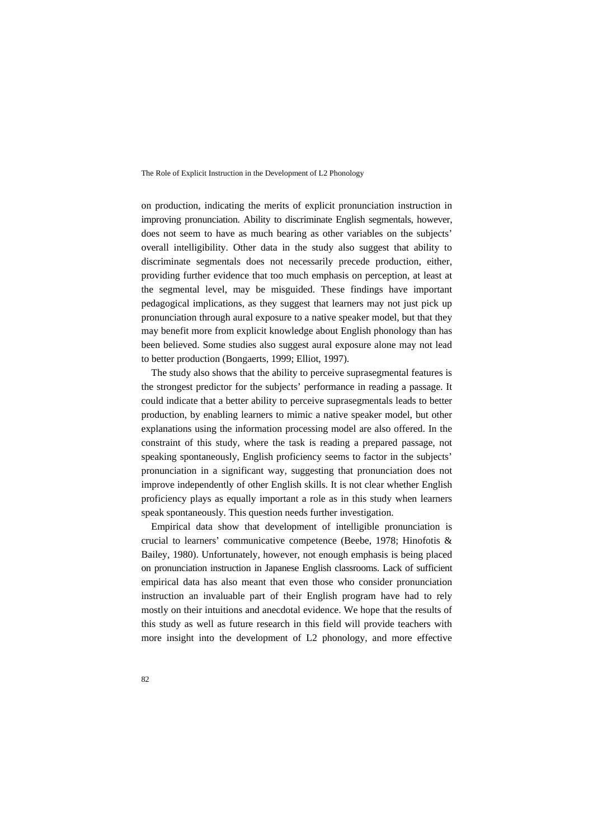on production, indicating the merits of explicit pronunciation instruction in improving pronunciation. Ability to discriminate English segmentals, however, does not seem to have as much bearing as other variables on the subjects' overall intelligibility. Other data in the study also suggest that ability to discriminate segmentals does not necessarily precede production, either, providing further evidence that too much emphasis on perception, at least at the segmental level, may be misguided. These findings have important pedagogical implications, as they suggest that learners may not just pick up pronunciation through aural exposure to a native speaker model, but that they may benefit more from explicit knowledge about English phonology than has been believed. Some studies also suggest aural exposure alone may not lead to better production (Bongaerts, 1999; Elliot, 1997).

The study also shows that the ability to perceive suprasegmental features is the strongest predictor for the subjects' performance in reading a passage. It could indicate that a better ability to perceive suprasegmentals leads to better production, by enabling learners to mimic a native speaker model, but other explanations using the information processing model are also offered. In the constraint of this study, where the task is reading a prepared passage, not speaking spontaneously, English proficiency seems to factor in the subjects' pronunciation in a significant way, suggesting that pronunciation does not improve independently of other English skills. It is not clear whether English proficiency plays as equally important a role as in this study when learners speak spontaneously. This question needs further investigation.

Empirical data show that development of intelligible pronunciation is crucial to learners' communicative competence (Beebe, 1978; Hinofotis & Bailey, 1980). Unfortunately, however, not enough emphasis is being placed on pronunciation instruction in Japanese English classrooms. Lack of sufficient empirical data has also meant that even those who consider pronunciation instruction an invaluable part of their English program have had to rely mostly on their intuitions and anecdotal evidence. We hope that the results of this study as well as future research in this field will provide teachers with more insight into the development of L2 phonology, and more effective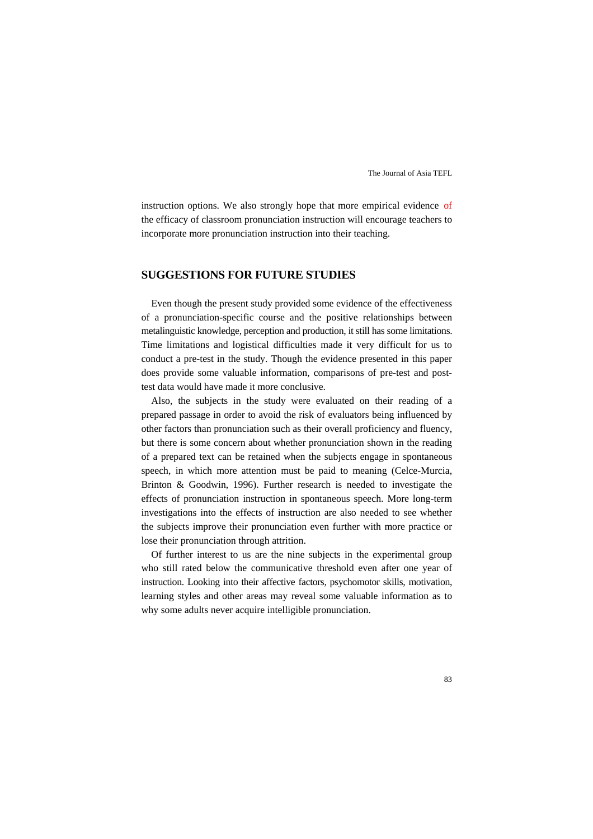instruction options. We also strongly hope that more empirical evidence of the efficacy of classroom pronunciation instruction will encourage teachers to incorporate more pronunciation instruction into their teaching.

## **SUGGESTIONS FOR FUTURE STUDIES**

Even though the present study provided some evidence of the effectiveness of a pronunciation-specific course and the positive relationships between metalinguistic knowledge, perception and production, it still has some limitations. Time limitations and logistical difficulties made it very difficult for us to conduct a pre-test in the study. Though the evidence presented in this paper does provide some valuable information, comparisons of pre-test and posttest data would have made it more conclusive.

Also, the subjects in the study were evaluated on their reading of a prepared passage in order to avoid the risk of evaluators being influenced by other factors than pronunciation such as their overall proficiency and fluency, but there is some concern about whether pronunciation shown in the reading of a prepared text can be retained when the subjects engage in spontaneous speech, in which more attention must be paid to meaning (Celce-Murcia, Brinton & Goodwin, 1996). Further research is needed to investigate the effects of pronunciation instruction in spontaneous speech. More long-term investigations into the effects of instruction are also needed to see whether the subjects improve their pronunciation even further with more practice or lose their pronunciation through attrition.

Of further interest to us are the nine subjects in the experimental group who still rated below the communicative threshold even after one year of instruction. Looking into their affective factors, psychomotor skills, motivation, learning styles and other areas may reveal some valuable information as to why some adults never acquire intelligible pronunciation.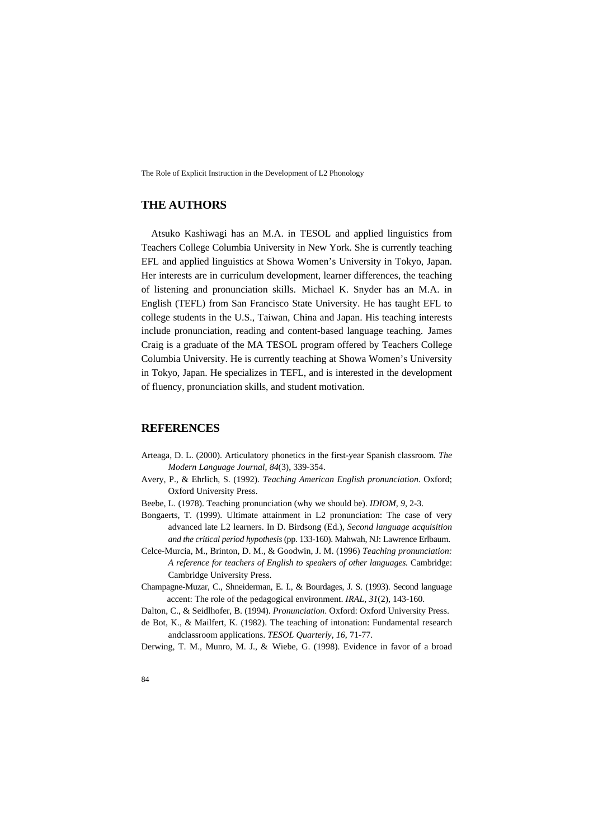## **THE AUTHORS**

Atsuko Kashiwagi has an M.A. in TESOL and applied linguistics from Teachers College Columbia University in New York. She is currently teaching EFL and applied linguistics at Showa Women's University in Tokyo, Japan. Her interests are in curriculum development, learner differences, the teaching of listening and pronunciation skills. Michael K. Snyder has an M.A. in English (TEFL) from San Francisco State University. He has taught EFL to college students in the U.S., Taiwan, China and Japan. His teaching interests include pronunciation, reading and content-based language teaching. James Craig is a graduate of the MA TESOL program offered by Teachers College Columbia University. He is currently teaching at Showa Women's University in Tokyo, Japan. He specializes in TEFL, and is interested in the development of fluency, pronunciation skills, and student motivation.

## **REFERENCES**

- Arteaga, D. L. (2000). Articulatory phonetics in the first-year Spanish classroom*. The Modern Language Journal, 84*(3), 339-354.
- Avery, P., & Ehrlich, S. (1992). *Teaching American English pronunciation*. Oxford; Oxford University Press.
- Beebe, L. (1978). Teaching pronunciation (why we should be). *IDIOM, 9*, 2-3.
- Bongaerts, T. (1999). Ultimate attainment in L2 pronunciation: The case of very advanced late L2 learners. In D. Birdsong (Ed.), *Second language acquisition and the critical period hypothesis* (pp. 133-160). Mahwah, NJ: Lawrence Erlbaum.
- Celce-Murcia, M., Brinton, D. M., & Goodwin, J. M. (1996) *Teaching pronunciation: A reference for teachers of English to speakers of other languages.* Cambridge: Cambridge University Press.
- Champagne-Muzar, C., Shneiderman, E. I., & Bourdages, J. S. (1993). Second language accent: The role of the pedagogical environment. *IRAL, 31*(2), 143-160.
- Dalton, C., & Seidlhofer, B. (1994). *Pronunciation*. Oxford: Oxford University Press.
- de Bot, K., & Mailfert, K. (1982). The teaching of intonation: Fundamental research andclassroom applications. *TESOL Quarterly*, *16*, 71-77.
- Derwing, T. M., Munro, M. J., & Wiebe, G. (1998). Evidence in favor of a broad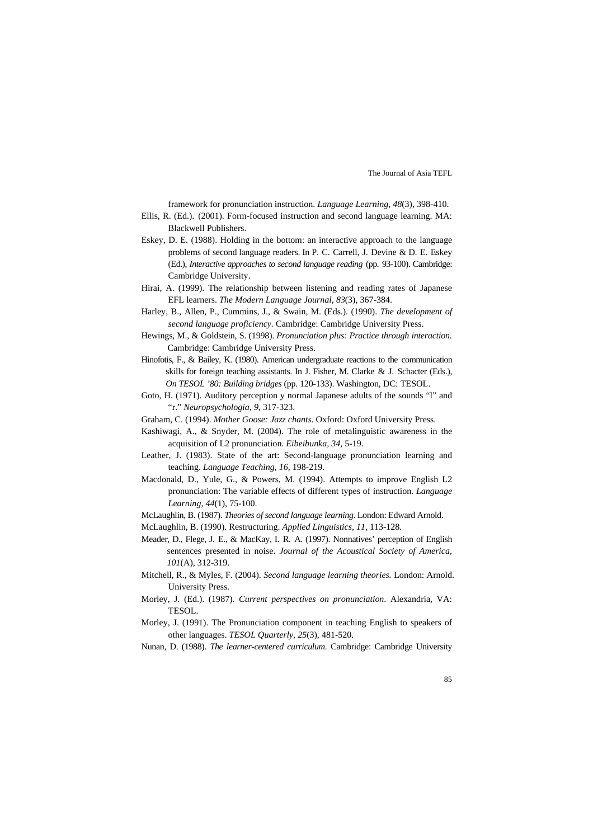framework for pronunciation instruction. *Language Learning, 48*(3), 398-410.

- Ellis, R. (Ed.). (2001). Form-focused instruction and second language learning. MA: Blackwell Publishers.
- Eskey, D. E. (1988). Holding in the bottom: an interactive approach to the language problems of second language readers. In P. C. Carrell, J. Devine & D. E. Eskey (Ed.), *Interactive approaches to second language reading* (pp. 93-100). Cambridge: Cambridge University.
- Hirai, A. (1999). The relationship between listening and reading rates of Japanese EFL learners. *The Modern Language Journal, 83*(3), 367-384.
- Harley, B., Allen, P., Cummins, J., & Swain, M. (Eds.). (1990). *The development of second language proficiency.* Cambridge: Cambridge University Press.
- Hewings, M., & Goldstein, S. (1998). *Pronunciation plus: Practice through interaction.* Cambridge: Cambridge University Press.
- Hinofotis, F., & Bailey, K. (1980). American undergraduate reactions to the communication skills for foreign teaching assistants. In J. Fisher, M. Clarke & J. Schacter (Eds.), *On TESOL '80: Building bridges* (pp. 120-133). Washington, DC: TESOL.
- Goto, H. (1971). Auditory perception y normal Japanese adults of the sounds "l" and "r." *Neuropsychologia, 9*, 317-323.
- Graham, C. (1994). *Mother Goose: Jazz chants.* Oxford: Oxford University Press.
- Kashiwagi, A., & Snyder, M. (2004). The role of metalinguistic awareness in the acquisition of L2 pronunciation. *Eibeibunka, 34,* 5-19.
- Leather, J. (1983). State of the art: Second-language pronunciation learning and teaching. *Language Teaching, 16,* 198-219.
- Macdonald, D., Yule, G., & Powers, M. (1994). Attempts to improve English L2 pronunciation: The variable effects of different types of instruction. *Language Learning, 44*(1), 75-100.
- McLaughlin, B. (1987). *Theories of second language learning*. London: Edward Arnold.
- McLaughlin, B. (1990). Restructuring. *Applied Linguistics, 11*, 113-128.
- Meader, D., Flege, J. E., & MacKay, I. R. A. (1997). Nonnatives' perception of English sentences presented in noise. *Journal of the Acoustical Society of America, 101*(A), 312-319.
- Mitchell, R., & Myles, F. (2004). *Second language learning theories.* London: Arnold. University Press.
- Morley, J. (Ed.). (1987). *Current perspectives on pronunciation*. Alexandria, VA: TESOL.
- Morley, J. (1991). The Pronunciation component in teaching English to speakers of other languages. *TESOL Quarterly, 25*(3), 481-520.
- Nunan, D. (1988). *The learner-centered curriculum*. Cambridge: Cambridge University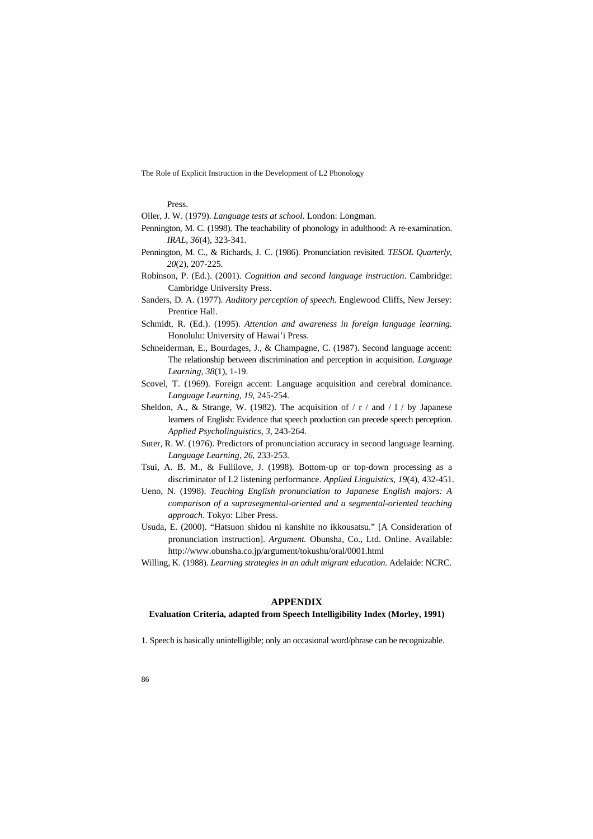Press.

Oller, J. W. (1979). *Language tests at school.* London: Longman.

- Pennington, M. C. (1998). The teachability of phonology in adulthood: A re-examination. *IRAL, 36*(4), 323-341.
- Pennington, M. C., & Richards, J. C. (1986). Pronunciation revisited. *TESOL Quarterly, 20*(2), 207-225.
- Robinson, P. (Ed.). (2001). *Cognition and second language instruction*. Cambridge: Cambridge University Press.
- Sanders, D. A. (1977). *Auditory perception of speech*. Englewood Cliffs, New Jersey: Prentice Hall.
- Schmidt, R. (Ed.). (1995). *Attention and awareness in foreign language learning.*  Honolulu: University of Hawai'i Press.
- Schneiderman, E., Bourdages, J., & Champagne, C. (1987). Second language accent: The relationship between discrimination and perception in acquisition. *Language Learning, 38*(1), 1-19.
- Scovel, T. (1969). Foreign accent: Language acquisition and cerebral dominance. *Language Learning, 19*, 245-254.
- Sheldon, A., & Strange, W. (1982). The acquisition of  $/$  r  $/$  and  $/$  1  $/$  by Japanese learners of English: Evidence that speech production can precede speech perception. *Applied Psycholinguistics, 3,* 243-264.
- Suter, R. W. (1976). Predictors of pronunciation accuracy in second language learning. *Language Learning, 26*, 233-253.
- Tsui, A. B. M., & Fullilove, J. (1998). Bottom-up or top-down processing as a discriminator of L2 listening performance. *Applied Linguistics, 19*(4), 432-451.
- Ueno, N. (1998). *Teaching English pronunciation to Japanese English majors: A comparison of a suprasegmental-oriented and a segmental-oriented teaching approach*. Tokyo: Liber Press.
- Usuda, E. (2000). "Hatsuon shidou ni kanshite no ikkousatsu." [A Consideration of pronunciation instruction]. *Argument.* Obunsha, Co., Ltd. Online. Available: <http://www.obunsha.co.jp/argument/tokushu/oral/0001.html>
- Willing, K. (1988). *Learning strategies in an adult migrant education*. Adelaide: NCRC.

#### **APPENDIX**

#### **Evaluation Criteria, adapted from Speech Intelligibility Index (Morley, 1991)**

1. Speech is basically unintelligible; only an occasional word/phrase can be recognizable.